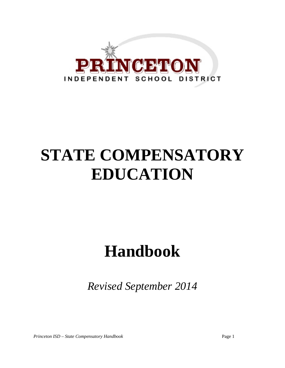

# **STATE COMPENSATORY EDUCATION**

## **Handbook**

*Revised September 2014*

*Princeton ISD – State Compensatory Handbook* Page 1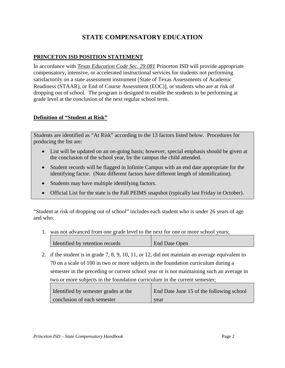### **STATE COMPENSATORY EDUCATION**

#### **PRINCETON ISD POSITION STATEMENT**

In accordance with *Texas Education Code Sec. 29.081* Princeton ISD will provide appropriate compensatory, intensive, or accelerated instructional services for students not performing satisfactorily on a state assessment instrument [State of Texas Assessments of Academic Readiness (STAAR), or End of Course Assessment (EOC)], or students who are at risk of dropping out of school. The program is designed to enable the students to be performing at grade level at the conclusion of the next regular school term.

#### **Definition of "Student at Risk"**

Students are identified as "At Risk" according to the 13 factors listed below. Procedures for producing the list are:

- List will be updated on an on-going basis; however, special emphasis should be given at the conclusion of the school year, by the campus the child attended.
- Student records will be flagged in Infinite Campus with an end date appropriate for the identifying factor. (Note different factors have different length of identification).
- Students may have multiple identifying factors.
- Official List for the state is the Fall PEIMS snapshot (typically last Friday in October).

"Student at risk of dropping out of school" includes each student who is under 26 years of age and who:

1. was not advanced from one grade level to the next for one or more school years;

| I dentified by retention records | End Date Open |
|----------------------------------|---------------|

2. if the student is in grade 7, 8, 9, 10, 11, or 12, did not maintain an average equivalent to 70 on a scale of 100 in two or more subjects in the foundation curriculum during a semester in the preceding or current school year or is not maintaining such an average in two or more subjects in the foundation curriculum in the current semester;

| Identified by semester grades at the | End Date June 15 of the following school |
|--------------------------------------|------------------------------------------|
| conclusion of each semester          | year                                     |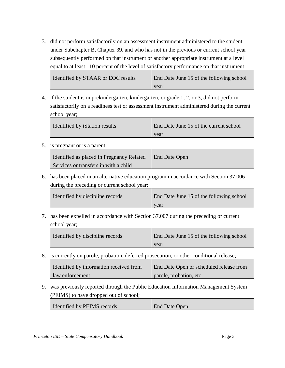3. did not perform satisfactorily on an assessment instrument administered to the student under Subchapter B, Chapter 39, and who has not in the previous or current school year subsequently performed on that instrument or another appropriate instrument at a level equal to at least 110 percent of the level of satisfactory performance on that instrument;

Identified by STAAR or EOC results | End Date June 15 of the following school year

4. if the student is in prekindergarten, kindergarten, or grade 1, 2, or 3, did not perform satisfactorily on a readiness test or assessment instrument administered during the current school year;

| Identified by iStation results | End Date June 15 of the current school |
|--------------------------------|----------------------------------------|
|                                | year                                   |

5. is pregnant or is a parent;

| Identified as placed in Pregnancy Related | <b>End Date Open</b> |
|-------------------------------------------|----------------------|
| Services or transfers in with a child     |                      |

6. has been placed in an alternative education program in accordance with Section 37.006 during the preceding or current school year;

| Identified by discipline records | End Date June 15 of the following school |
|----------------------------------|------------------------------------------|
|                                  | year                                     |

7. has been expelled in accordance with Section 37.007 during the preceding or current school year;

| Identified by discipline records | End Date June 15 of the following school |
|----------------------------------|------------------------------------------|
|                                  | vear                                     |

8. is currently on parole, probation, deferred prosecution, or other conditional release;

| Identified by information received from | End Date Open or scheduled release from |
|-----------------------------------------|-----------------------------------------|
| aw enforcement                          | parole, probation, etc.                 |

9. was previously reported through the Public Education Information Management System (PEIMS) to have dropped out of school;

|  | I Identified by PEIMS records | <b>End Date Open</b> |
|--|-------------------------------|----------------------|
|--|-------------------------------|----------------------|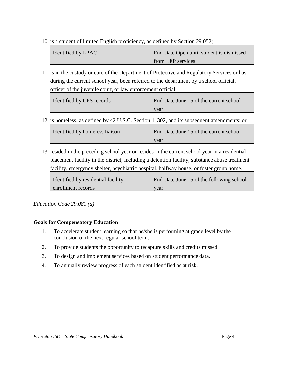10. is a student of limited English proficiency, as defined by Section 29.052;

| Identified by LPAC | End Date Open until student is dismissed |
|--------------------|------------------------------------------|
|                    | from LEP services                        |

11. is in the custody or care of the Department of Protective and Regulatory Services or has, during the current school year, been referred to the department by a school official, officer of the juvenile court, or law enforcement official;

| Identified by CPS records | End Date June 15 of the current school |
|---------------------------|----------------------------------------|
|                           | year                                   |

12. is homeless, as defined by 42 U.S.C. Section 11302, and its subsequent amendments; or

| Identified by homeless liaison | End Date June 15 of the current school |
|--------------------------------|----------------------------------------|
|                                | vear                                   |

13. resided in the preceding school year or resides in the current school year in a residential placement facility in the district, including a detention facility, substance abuse treatment facility, emergency shelter, psychiatric hospital, halfway house, or foster group home.

| Identified by residential facility | End Date June 15 of the following school |
|------------------------------------|------------------------------------------|
| enrollment records                 | year                                     |

*Education Code 29.081 (d)*

#### **Goals for Compensatory Education**

- 1. To accelerate student learning so that he/she is performing at grade level by the conclusion of the next regular school term.
- 2. To provide students the opportunity to recapture skills and credits missed.
- 3. To design and implement services based on student performance data.
- 4. To annually review progress of each student identified as at risk.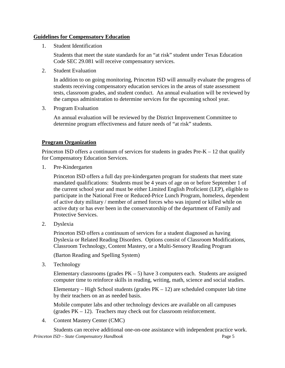#### **Guidelines for Compensatory Education**

1. Student Identification

Students that meet the state standards for an "at risk" student under Texas Education Code SEC 29.081 will receive compensatory services.

2. Student Evaluation

In addition to on going monitoring, Princeton ISD will annually evaluate the progress of students receiving compensatory education services in the areas of state assessment tests, classroom grades, and student conduct. An annual evaluation will be reviewed by the campus administration to determine services for the upcoming school year.

3. Program Evaluation

An annual evaluation will be reviewed by the District Improvement Committee to determine program effectiveness and future needs of "at risk" students.

#### **Program Organization**

Princeton ISD offers a continuum of services for students in grades  $Pre-K - 12$  that qualify for Compensatory Education Services.

1. Pre-Kindergarten

Princeton ISD offers a full day pre-kindergarten program for students that meet state mandated qualifications: Students must be 4 years of age on or before September 1 of the current school year and must be either Limited English Proficient (LEP), eligible to participate in the National Free or Reduced-Price Lunch Program, homeless, dependent of active duty military / member of armed forces who was injured or killed while on active duty or has ever been in the conservatorship of the department of Family and Protective Services.

2. Dyslexia

Princeton ISD offers a continuum of services for a student diagnosed as having Dyslexia or Related Reading Disorders. Options consist of Classroom Modifications, Classroom Technology, Content Mastery, or a Multi-Sensory Reading Program

(Barton Reading and Spelling System)

3. Technology

Elementary classrooms (grades  $PK - 5$ ) have 3 computers each. Students are assigned computer time to reinforce skills in reading, writing, math, science and social studies.

Elementary – High School students (grades  $PK - 12$ ) are scheduled computer lab time by their teachers on an as needed basis.

Mobile computer labs and other technology devices are available on all campuses (grades PK – 12). Teachers may check out for classroom reinforcement.

4. Content Mastery Center (CMC)

*Princeton ISD – State Compensatory Handbook* Page 5 Students can receive additional one-on-one assistance with independent practice work.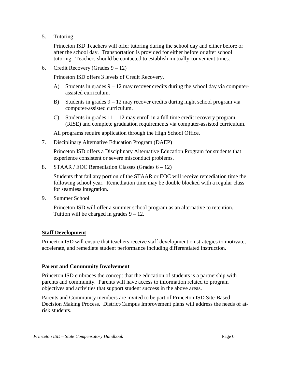5. Tutoring

Princeton ISD Teachers will offer tutoring during the school day and either before or after the school day. Transportation is provided for either before or after school tutoring. Teachers should be contacted to establish mutually convenient times.

6. Credit Recovery (Grades  $9 - 12$ )

Princeton ISD offers 3 levels of Credit Recovery.

- A) Students in grades  $9 12$  may recover credits during the school day via computerassisted curriculum.
- B) Students in grades  $9 12$  may recover credits during night school program via computer-assisted curriculum.
- C) Students in grades  $11 12$  may enroll in a full time credit recovery program (RISE) and complete graduation requirements via computer-assisted curriculum.

All programs require application through the High School Office.

7. Disciplinary Alternative Education Program (DAEP)

Princeton ISD offers a Disciplinary Alternative Education Program for students that experience consistent or severe misconduct problems.

8. STAAR / EOC Remediation Classes (Grades  $6 - 12$ )

Students that fail any portion of the STAAR or EOC will receive remediation time the following school year. Remediation time may be double blocked with a regular class for seamless integration.

9. Summer School

Princeton ISD will offer a summer school program as an alternative to retention. Tuition will be charged in grades  $9 - 12$ .

#### **Staff Development**

Princeton ISD will ensure that teachers receive staff development on strategies to motivate, accelerate, and remediate student performance including differentiated instruction.

#### **Parent and Community Involvement**

Princeton ISD embraces the concept that the education of students is a partnership with parents and community. Parents will have access to information related to program objectives and activities that support student success in the above areas.

Parents and Community members are invited to be part of Princeton ISD Site-Based Decision Making Process. District/Campus Improvement plans will address the needs of atrisk students.